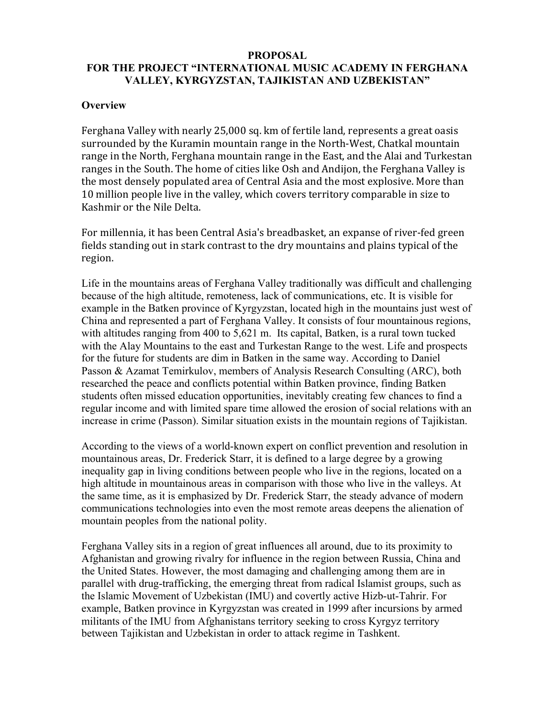# **PROPOSAL FOR THE PROJECT "INTERNATIONAL MUSIC ACADEMY IN FERGHANA VALLEY, KYRGYZSTAN, TAJIKISTAN AND UZBEKISTAN"**

## **Overview**

Ferghana Valley with nearly 25,000 sq. km of fertile land, represents a great oasis surrounded by the Kuramin mountain range in the North-West, Chatkal mountain range in the North, Ferghana mountain range in the East, and the Alai and Turkestan ranges in the South. The home of cities like Osh and Andijon, the Ferghana Valley is the most densely populated area of Central Asia and the most explosive. More than 10 million people live in the valley, which covers territory comparable in size to Kashmir or the Nile Delta.

For millennia, it has been Central Asia's breadbasket, an expanse of river-fed green fields standing out in stark contrast to the dry mountains and plains typical of the region.

Life in the mountains areas of Ferghana Valley traditionally was difficult and challenging because of the high altitude, remoteness, lack of communications, etc. It is visible for example in the Batken province of Kyrgyzstan, located high in the mountains just west of China and represented a part of Ferghana Valley. It consists of four mountainous regions, with altitudes ranging from 400 to 5,621 m. Its capital, Batken, is a rural town tucked with the Alay Mountains to the east and Turkestan Range to the west. Life and prospects for the future for students are dim in Batken in the same way. According to Daniel Passon & Azamat Temirkulov, members of Analysis Research Consulting (ARC), both researched the peace and conflicts potential within Batken province, finding Batken students often missed education opportunities, inevitably creating few chances to find a regular income and with limited spare time allowed the erosion of social relations with an increase in crime (Passon). Similar situation exists in the mountain regions of Tajikistan.

According to the views of a world-known expert on conflict prevention and resolution in mountainous areas, Dr. Frederick Starr, it is defined to a large degree by a growing inequality gap in living conditions between people who live in the regions, located on a high altitude in mountainous areas in comparison with those who live in the valleys. At the same time, as it is emphasized by Dr. Frederick Starr, the steady advance of modern communications technologies into even the most remote areas deepens the alienation of mountain peoples from the national polity.

Ferghana Valley sits in a region of great influences all around, due to its proximity to Afghanistan and growing rivalry for influence in the region between Russia, China and the United States. However, the most damaging and challenging among them are in parallel with drug-trafficking, the emerging threat from radical Islamist groups, such as the Islamic Movement of Uzbekistan (IMU) and covertly active Hizb-ut-Tahrir. For example, Batken province in Kyrgyzstan was created in 1999 after incursions by armed militants of the IMU from Afghanistans territory seeking to cross Kyrgyz territory between Tajikistan and Uzbekistan in order to attack regime in Tashkent.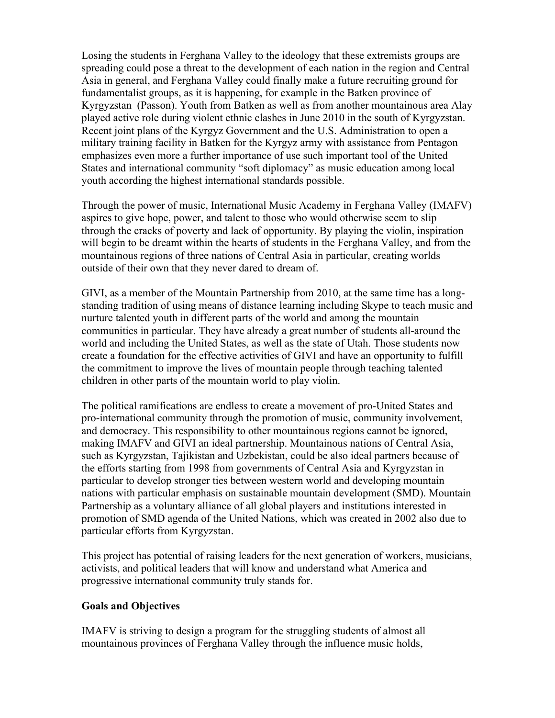Losing the students in Ferghana Valley to the ideology that these extremists groups are spreading could pose a threat to the development of each nation in the region and Central Asia in general, and Ferghana Valley could finally make a future recruiting ground for fundamentalist groups, as it is happening, for example in the Batken province of Kyrgyzstan (Passon). Youth from Batken as well as from another mountainous area Alay played active role during violent ethnic clashes in June 2010 in the south of Kyrgyzstan. Recent joint plans of the Kyrgyz Government and the U.S. Administration to open a military training facility in Batken for the Kyrgyz army with assistance from Pentagon emphasizes even more a further importance of use such important tool of the United States and international community "soft diplomacy" as music education among local youth according the highest international standards possible.

Through the power of music, International Music Academy in Ferghana Valley (IMAFV) aspires to give hope, power, and talent to those who would otherwise seem to slip through the cracks of poverty and lack of opportunity. By playing the violin, inspiration will begin to be dreamt within the hearts of students in the Ferghana Valley, and from the mountainous regions of three nations of Central Asia in particular, creating worlds outside of their own that they never dared to dream of.

GIVI, as a member of the Mountain Partnership from 2010, at the same time has a longstanding tradition of using means of distance learning including Skype to teach music and nurture talented youth in different parts of the world and among the mountain communities in particular. They have already a great number of students all-around the world and including the United States, as well as the state of Utah. Those students now create a foundation for the effective activities of GIVI and have an opportunity to fulfill the commitment to improve the lives of mountain people through teaching talented children in other parts of the mountain world to play violin.

The political ramifications are endless to create a movement of pro-United States and pro-international community through the promotion of music, community involvement, and democracy. This responsibility to other mountainous regions cannot be ignored, making IMAFV and GIVI an ideal partnership. Mountainous nations of Central Asia, such as Kyrgyzstan, Tajikistan and Uzbekistan, could be also ideal partners because of the efforts starting from 1998 from governments of Central Asia and Kyrgyzstan in particular to develop stronger ties between western world and developing mountain nations with particular emphasis on sustainable mountain development (SMD). Mountain Partnership as a voluntary alliance of all global players and institutions interested in promotion of SMD agenda of the United Nations, which was created in 2002 also due to particular efforts from Kyrgyzstan.

This project has potential of raising leaders for the next generation of workers, musicians, activists, and political leaders that will know and understand what America and progressive international community truly stands for.

# **Goals and Objectives**

IMAFV is striving to design a program for the struggling students of almost all mountainous provinces of Ferghana Valley through the influence music holds,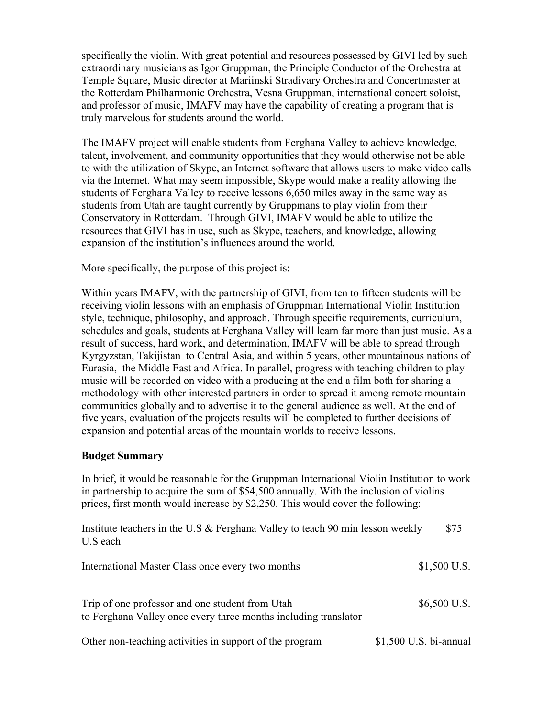specifically the violin. With great potential and resources possessed by GIVI led by such extraordinary musicians as Igor Gruppman, the Principle Conductor of the Orchestra at Temple Square, Music director at Mariinski Stradivary Orchestra and Concertmaster at the Rotterdam Philharmonic Orchestra, Vesna Gruppman, international concert soloist, and professor of music, IMAFV may have the capability of creating a program that is truly marvelous for students around the world.

The IMAFV project will enable students from Ferghana Valley to achieve knowledge, talent, involvement, and community opportunities that they would otherwise not be able to with the utilization of Skype, an Internet software that allows users to make video calls via the Internet. What may seem impossible, Skype would make a reality allowing the students of Ferghana Valley to receive lessons 6,650 miles away in the same way as students from Utah are taught currently by Gruppmans to play violin from their Conservatory in Rotterdam. Through GIVI, IMAFV would be able to utilize the resources that GIVI has in use, such as Skype, teachers, and knowledge, allowing expansion of the institution's influences around the world.

More specifically, the purpose of this project is:

Within years IMAFV, with the partnership of GIVI, from ten to fifteen students will be receiving violin lessons with an emphasis of Gruppman International Violin Institution style, technique, philosophy, and approach. Through specific requirements, curriculum, schedules and goals, students at Ferghana Valley will learn far more than just music. As a result of success, hard work, and determination, IMAFV will be able to spread through Kyrgyzstan, Takijistan to Central Asia, and within 5 years, other mountainous nations of Eurasia, the Middle East and Africa. In parallel, progress with teaching children to play music will be recorded on video with a producing at the end a film both for sharing a methodology with other interested partners in order to spread it among remote mountain communities globally and to advertise it to the general audience as well. At the end of five years, evaluation of the projects results will be completed to further decisions of expansion and potential areas of the mountain worlds to receive lessons.

# **Budget Summary**

In brief, it would be reasonable for the Gruppman International Violin Institution to work in partnership to acquire the sum of \$54,500 annually. With the inclusion of violins prices, first month would increase by \$2,250. This would cover the following:

| Institute teachers in the U.S & Ferghana Valley to teach 90 min lesson weekly<br>U.S each                          | \$75                   |
|--------------------------------------------------------------------------------------------------------------------|------------------------|
| International Master Class once every two months                                                                   | $$1,500$ U.S.          |
| Trip of one professor and one student from Utah<br>to Ferghana Valley once every three months including translator | $$6,500$ U.S.          |
| Other non-teaching activities in support of the program                                                            | \$1,500 U.S. bi-annual |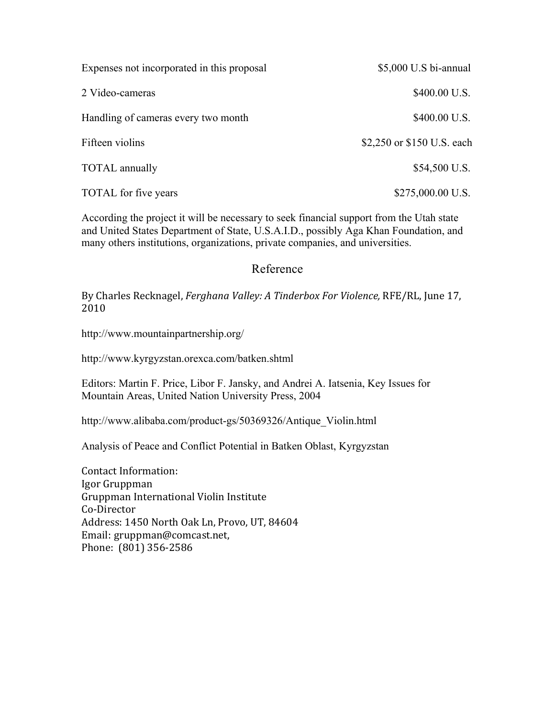| Expenses not incorporated in this proposal | \$5,000 U.S bi-annual      |
|--------------------------------------------|----------------------------|
| 2 Video-cameras                            | \$400.00 U.S.              |
| Handling of cameras every two month        | \$400.00 U.S.              |
| Fifteen violins                            | \$2,250 or \$150 U.S. each |
| <b>TOTAL</b> annually                      | \$54,500 U.S.              |
| <b>TOTAL</b> for five years                | $$275,000.00$ U.S.         |

According the project it will be necessary to seek financial support from the Utah state and United States Department of State, U.S.A.I.D., possibly Aga Khan Foundation, and many others institutions, organizations, private companies, and universities.

# Reference

By Charles Recknagel, *Ferghana Valley: A Tinderbox For Violence*, RFE/RL, June 17, 2010 

http://www.mountainpartnership.org/

http://www.kyrgyzstan.orexca.com/batken.shtml

Editors: Martin F. Price, Libor F. Jansky, and Andrei A. Iatsenia, Key Issues for Mountain Areas, United Nation University Press, 2004

http://www.alibaba.com/product-gs/50369326/Antique\_Violin.html

Analysis of Peace and Conflict Potential in Batken Oblast, Kyrgyzstan

Contact Information: Igor Gruppman Gruppman International Violin Institute Co-Director Address: 1450 North Oak Ln, Provo, UT, 84604 Email: gruppman@comcast.net, Phone: (801) 356-2586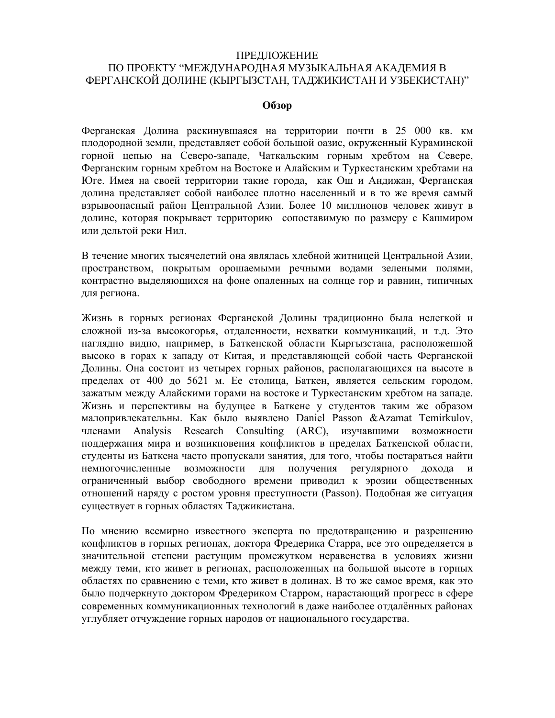#### ПРЕДЛОЖЕНИЕ

# ПО ПРОЕКТУ "МЕЖДУНАРОДНАЯ МУЗЫКАЛЬНАЯ АКАДЕМИЯ В ФЕРГАНСКОЙ ДОЛИНЕ (КЫРГЫЗСТАН, ТАДЖИКИСТАН И УЗБЕКИСТАН)"

#### **Обзор**

Ферганская Долина раскинувшаяся на территории почти в 25 000 кв. км плодородной земли, представляет собой большой оазис, окруженный Кураминской горной цепью на Северо-западе, Чаткальским горным хребтом на Севере, Ферганским горным хребтом на Востоке и Алайским и Туркестанским хребтами на Юге. Имея на своей территории такие города, как Ош и Андижан, Ферганская долина представляет собой наиболее плотно населенный и в то же время самый взрывоопасный район Центральной Азии. Более 10 миллионов человек живут в долине, которая покрывает территорию сопоставимую по размеру с Кашмиром или дельтой реки Нил.

В течение многих тысячелетий она являлась хлебной житницей Центральной Азии, пространством, покрытым орошаемыми речными водами зелеными полями, контрастно выделяющихся на фоне опаленных на солнце гор и равнин, типичных для региона.

Жизнь в горных регионах Ферганской Долины традиционно была нелегкой и сложной из-за высокогорья, отдаленности, нехватки коммуникаций, и т.д. Это наглядно видно, например, в Баткенской области Кыргызстана, расположенной высоко в горах к западу от Китая, и представляющей собой часть Ферганской Долины. Она состоит из четырех горных районов, располагающихся на высоте в пределах от 400 до 5621 м. Ее столица, Баткен, является сельским городом, зажатым между Алайскими горами на востоке и Туркестанским хребтом на западе. Жизнь и перспективы на будущее в Баткене у студентов таким же образом малопривлекательны. Как было выявлено Daniel Passon &Azamat Temirkulov, членами Analysis Research Consulting (ARC), изучавшими возможности поддержания мира и возникновения конфликтов в пределах Баткенской области, студенты из Баткена часто пропускали занятия, для того, чтобы постараться найти немногочисленные возможности для получения регулярного дохода и ограниченный выбор свободного времени приводил к эрозии общественных отношений наряду с ростом уровня преступности (Passon). Подобная же ситуация существует в горных областях Таджикистана.

По мнению всемирно известного эксперта по предотвращению и разрешению конфликтов в горных регионах, доктора Фредерика Старра, все это определяется в значительной степени растущим промежутком неравенства в условиях жизни между теми, кто живет в регионах, расположенных на большой высоте в горных областях по сравнению с теми, кто живет в долинах. В то же самое время, как это было подчеркнуто доктором Фредериком Старром, нарастающий прогресс в сфере современных коммуникационных технологий в даже наиболее отдалённых районах углубляет отчуждение горных народов от национального государства.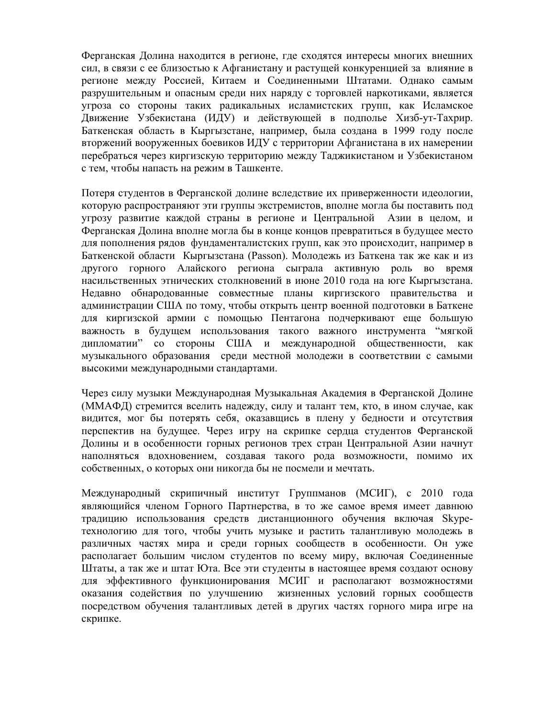Ферганская Долина находится в регионе, где сходятся интересы многих внешних сил, в связи с ее близостью к Афганистану и растущей конкуренцией за влияние в регионе между Россией, Китаем и Соединенными Штатами. Однако самым разрушительным и опасным среди них наряду с торговлей наркотиками, является угроза со стороны таких радикальных исламистских групп, как Исламское Движение Узбекистана (ИДУ) и действующей в подполье Хизб-ут-Тахрир. Баткенская область в Кыргызстане, например, была создана в 1999 году после вторжений вооруженных боевиков ИДУ с территории Афганистана в их намерении перебраться через киргизскую территорию между Таджикистаном и Узбекистаном с тем, чтобы напасть на режим в Ташкенте.

Потеря студентов в Ферганской долине вследствие их приверженности идеологии, которую распространяют эти группы экстремистов, вполне могла бы поставить под угрозу развитие каждой страны в регионе и Центральной Азии в целом, и Ферганская Долина вполне могла бы в конце концов превратиться в будущее место для пополнения рядов фундаменталистских групп, как это происходит, например в Баткенской области Кыргызстана (Passon). Молодежь из Баткена так же как и из другого горного Алайского региона сыграла активную роль во время насильственных этнических столкновений в июне 2010 года на юге Кыргызстана. Недавно обнародованные совместные планы киргизского правительства и администрации США по тому, чтобы открыть центр военной подготовки в Баткене для киргизской армии с помощью Пентагона подчеркивают еще большую важность в будущем использования такого важного инструмента "мягкой дипломатии" со стороны США и международной общественности, как музыкального образования среди местной молодежи в соответствии с самыми высокими международными стандартами.

Через силу музыки Международная Музыкальная Академия в Ферганской Долине (ММАФД) стремится вселить надежду, силу и талант тем, кто, в ином случае, как видится, мог бы потерять себя, оказавщись в плену у бедности и отсутствия перспектив на будущее. Через игру на скрипке сердца студентов Ферганской Долины и в особенности горных регионов трех стран Центральной Азии начнут наполняться вдохновением, создавая такого рода возможности, помимо их собственных, о которых они никогда бы не посмели и мечтать.

Международный скрипичный институт Группманов (МСИГ), с 2010 года являющийся членом Горного Партнерства, в то же самое время имеет давнюю традицию использования средств дистанционного обучения включая Skypeтехнологию для того, чтобы учить музыке и растить талантливую молодежь в различных частях мира и среди горных сообществ в особенности. Он уже располагает большим числом студентов по всему миру, включая Соединенные Штаты, а так же и штат Юта. Все эти студенты в настоящее время создают основу для эффективного функционирования МСИГ и располагают возможностями оказания содействия по улучшению жизненных условий горных сообществ посредством обучения талантливых детей в других частях горного мира игре на скрипке.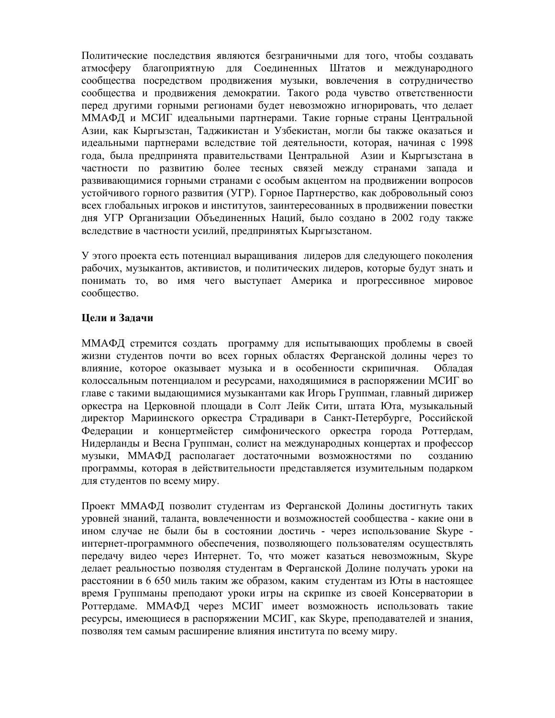Политические последствия являются безграничными для того, чтобы создавать атмосферу благоприятную для Соединенных Штатов и международного сообщества посредством продвижения музыки, вовлечения в сотрудничество сообщества и продвижения демократии. Такого рода чувство ответственности перед другими горными регионами будет невозможно игнорировать, что делает ММАФД и МСИГ идеальными партнерами. Такие горные страны Центральной Азии, как Кыргызстан, Таджикистан и Узбекистан, могли бы также оказаться и идеальными партнерами вследствие той деятельности, которая, начиная с 1998 года, была предпринята правительствами Центральной Азии и Кыргызстана в частности по развитию более тесных связей между странами запада и развивающимися горными странами с особым акцентом на продвижении вопросов устойчивого горного развития (УГР). Горное Партнерство, как добровольный союз всех глобальных игроков и институтов, заинтересованных в продвижении повестки дня УГР Организации Объединенных Наций, было создано в 2002 году также вследствие в частности усилий, предпринятых Кыргызстаном.

У этого проекта есть потенциал выращивания лидеров для следующего поколения рабочих, музыкантов, активистов, и политических лидеров, которые будут знать и понимать то, во имя чего выступает Америка и прогрессивное мировое сообщество.

# **Цели и Задачи**

ММАФД стремится создать программу для испытывающих проблемы в своей жизни студентов почти во всех горных областях Ферганской долины через то влияние, которое оказывает музыка и в особенности скрипичная. Обладая колоссальным потенциалом и ресурсами, находящимися в распоряжении МСИГ во главе с такими выдающимися музыкантами как Игорь Группман, главный дирижер оркестра на Церковной площади в Солт Лейк Сити, штата Юта, музыкальный директор Мариинского оркестра Страдивари в Санкт-Петербурге, Российской Федерации и концертмейстер симфонического оркестра города Роттердам, Нидерланды и Весна Группман, солист на международных концертах и профессор музыки, ММАФД располагает достаточными возможностями по созданию программы, которая в действительности представляется изумительным подарком для студентов по всему миру.

Проект ММАФД позволит студентам из Ферганской Долины достигнуть таких уровней знаний, таланта, вовлеченности и возможностей сообщества - какие они в ином случае не были бы в состоянии достичь - через использование Skype интернет-программного обеспечения, позволяющего пользователям осуществлять передачу видео через Интернет. То, что может казаться невозможным, Skype делает реальностью позволяя студентам в Ферганской Долине получать уроки на расстоянии в 6 650 миль таким же образом, каким студентам из Юты в настоящее время Группманы преподают уроки игры на скрипке из своей Консерватории в Роттердаме. ММАФД через МСИГ имеет возможность использовать такие ресурсы, имеющиеся в распоряжении МСИГ, как Skype, преподавателей и знания, позволяя тем самым расширение влияния института по всему миру.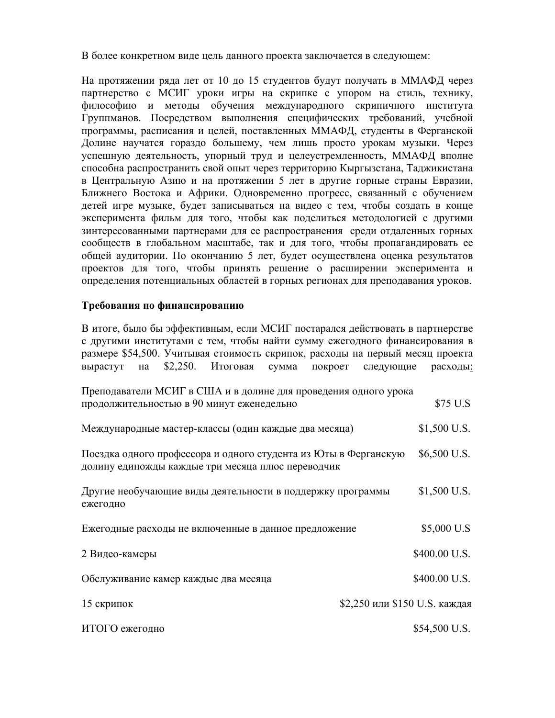В более конкретном виде цель данного проекта заключается в следующем:

На протяжении ряда лет от 10 до 15 студентов будут получать в ММАФД через партнерство с МСИГ уроки игры на скрипке с упором на стиль, технику, философию и методы обучения международного скрипичного института Группманов. Посредством выполнения специфических требований, учебной программы, расписания и целей, поставленных ММАФД, студенты в Ферганской Долине научатся гораздо большему, чем лишь просто урокам музыки. Через успешную деятельность, упорный труд и целеустремленность, ММАФД вполне способна распространить свой опыт через территорию Кыргызстана, Таджикистана в Центральную Азию и на протяжении 5 лет в другие горные страны Евразии, Ближнего Востока и Африки. Одновременно прогресс, связанный с обучением детей игре музыке, будет записываться на видео с тем, чтобы создать в конце эксперимента фильм для того, чтобы как поделиться методологией с другими зинтересованными партнерами для ее распространения среди отдаленных горных сообществ в глобальном масштабе, так и для того, чтобы пропагандировать ее общей аудитории. По окончанию 5 лет, будет осуществлена оценка результатов проектов для того, чтобы принять решение о расширении эксперимента и определения потенциальных областей в горных регионах для преподавания уроков.

# **Требования по финансированию**

В итоге, было бы эффективным, если МСИГ постарался действовать в партнерстве с другими институтами с тем, чтобы найти сумму ежегодного финансирования в размере \$54,500. Учитывая стоимость скрипок, расходы на первый месяц проекта вырастут на \$2,250. Итоговая сумма покроет следующие расходы: Преподаватели МСИГ в США и в долине для проведения одного урока продолжительностью в 90 минут еженедельно \$75 U.S Международные мастер-классы (один каждые два месяца) \$1,500 U.S. Поездка одного профессора и одного студента из Юты в Ферганскую \$6,500 U.S. долину единожды каждые три месяца плюс переводчик Другие необучающие виды деятельности в поддержку программы \$1,500 U.S. ежегодно Ежегодные расходы не включенные в данное предложение  $$5,000$  U.S 2 Видео-камеры  $$400.00$  U.S. Обслуживание камер каждые два месяца **\$400.00 U.S.** 15 скрипок **\$2,250 или \$150 U.S. каждая** ИТОГО ежегодно \$54,500 U.S.